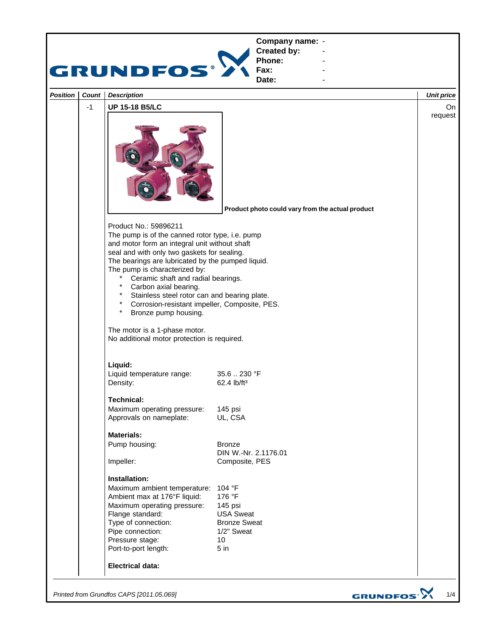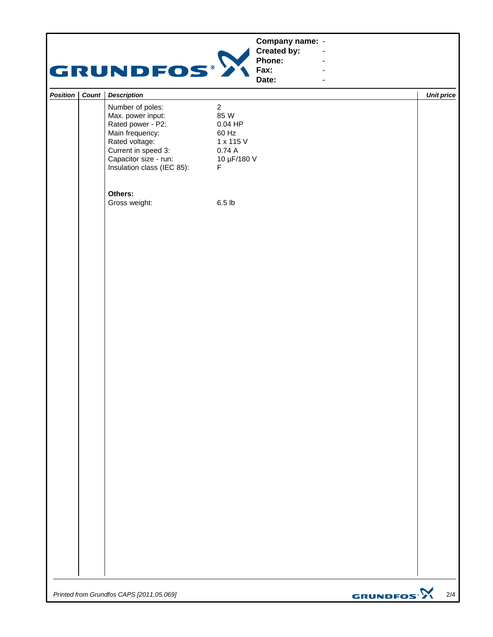|          |           | <b>GRUNDFOS®</b>                                                                                                                                                              | Company name: -<br>Created by:<br>Phone:<br>Fax:<br>Date:                              | $\blacksquare$<br>$\blacksquare$<br>$\blacksquare$ |                   |
|----------|-----------|-------------------------------------------------------------------------------------------------------------------------------------------------------------------------------|----------------------------------------------------------------------------------------|----------------------------------------------------|-------------------|
| Position | Count $ $ | <b>Description</b>                                                                                                                                                            |                                                                                        |                                                    | <b>Unit price</b> |
|          |           | Number of poles:<br>Max. power input:<br>Rated power - P2:<br>Main frequency:<br>Rated voltage:<br>Current in speed 3:<br>Capacitor size - run:<br>Insulation class (IEC 85): | $\overline{2}$<br>85 W<br>$0.04$ HP<br>60 Hz<br>1 x 115 V<br>0.74A<br>10 µF/180 V<br>F |                                                    |                   |
|          |           | Others:<br>Gross weight:                                                                                                                                                      | 6.5 <sub>lb</sub>                                                                      |                                                    |                   |
|          |           |                                                                                                                                                                               |                                                                                        |                                                    |                   |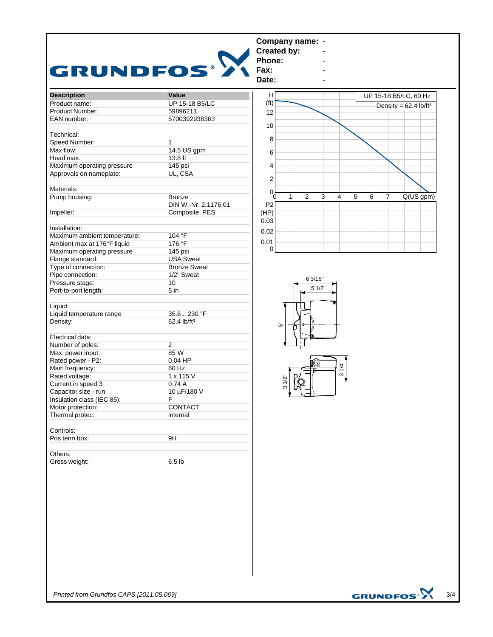

*Printed from Grundfos CAPS [2011.05.069]*

GRUNDFOS<sup>.</sup>